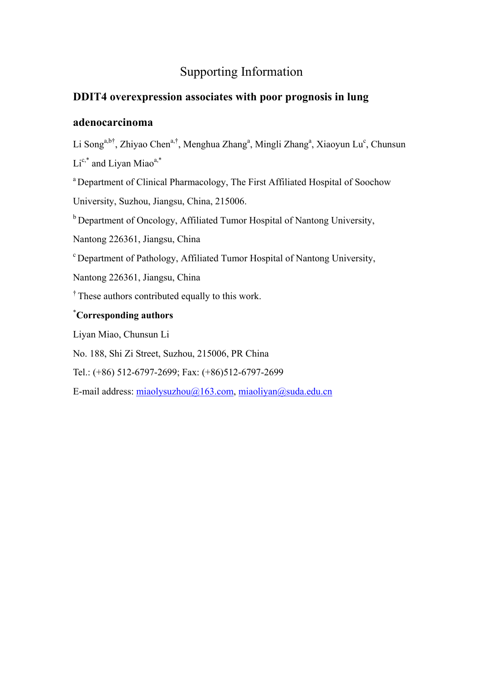## Supporting Information

## **DDIT4 overexpression associates with poor prognosis in lung**

## **adenocarcinoma**

Li Song<sup>a,b†</sup>, Zhiyao Chen<sup>a,†</sup>, Menghua Zhang<sup>a</sup>, Mingli Zhang<sup>a</sup>, Xiaoyun Lu<sup>c</sup>, Chunsun  $Li^{c,*}$  and Livan Miao<sup>a,\*</sup>

<sup>a</sup> Department of Clinical Pharmacology, The First Affiliated Hospital of Soochow

University, Suzhou, Jiangsu, China, 215006.

<sup>b</sup> Department of Oncology, Affiliated Tumor Hospital of Nantong University,

Nantong 226361, Jiangsu, China

c Department of Pathology, Affiliated Tumor Hospital of Nantong University,

Nantong 226361, Jiangsu, China

<sup>†</sup> These authors contributed equally to this work.

## \* **Corresponding authors**

Liyan Miao, Chunsun Li

No. 188, Shi Zi Street, Suzhou, 215006, PR China

Tel.: (+86) 512-6797-2699; Fax: (+86)512-6797-2699

E-mail address: miaolysuzhou@163.com, miaoliyan@suda.edu.cn